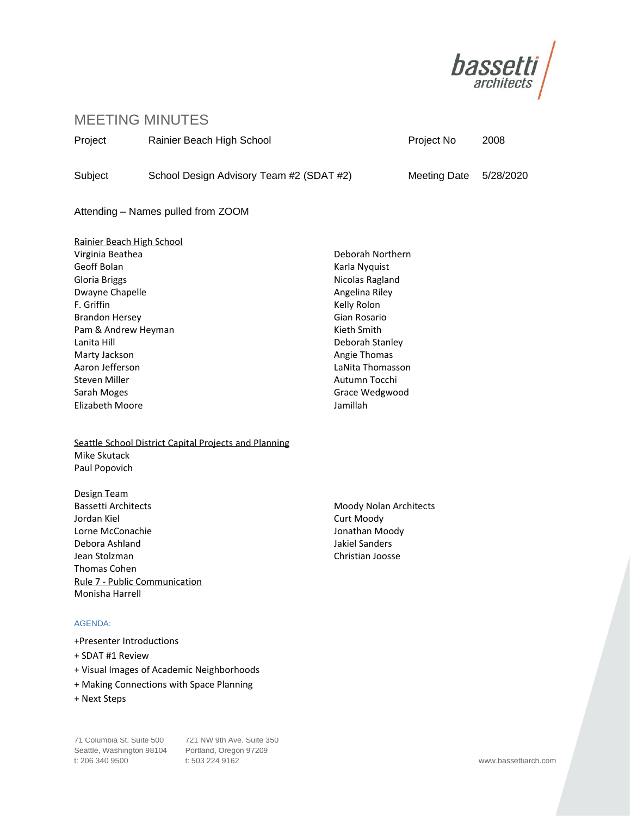

# MEETING MINUTES

Project Rainier Beach High School **Project No. 2008** Project No. 2008

Subject School Design Advisory Team #2 (SDAT #2) Meeting Date 5/28/2020

Attending – Names pulled from ZOOM

Rainier Beach High School Virginia Beathea Geoff Bolan Gloria Briggs Dwayne Chapelle F. Griffin Brandon Hersey Pam & Andrew Heyman Lanita Hill Marty Jackson Aaron Jefferson Steven Miller Sarah Moges Elizabeth Moore

# Seattle School District Capital Projects and Planning Mike Skutack Paul Popovich

Design Team Bassetti Architects Jordan Kiel Lorne McConachie Debora Ashland Jean Stolzman Thomas Cohen Rule 7 - Public Communication Monisha Harrell

# AGENDA:

- +Presenter Introductions
- + SDAT #1 Review
- + Visual Images of Academic Neighborhoods
- + Making Connections with Space Planning
- + Next Steps

Seattle, Washington 98104 Portland, Oregon 97209 t: 206 340 9500 t: 503 224 9162 www.bassettiarch.com

71 Columbia St. Suite 500 721 NW 9th Ave. Suite 350

Deborah Northern Karla Nyquist Nicolas Ragland Angelina Riley Kelly Rolon Gian Rosario Kieth Smith Deborah Stanley Angie Thomas LaNita Thomasson Autumn Tocchi Grace Wedgwood Jamillah

Moody Nolan Architects Curt Moody Jonathan Moody Jakiel Sanders Christian Joosse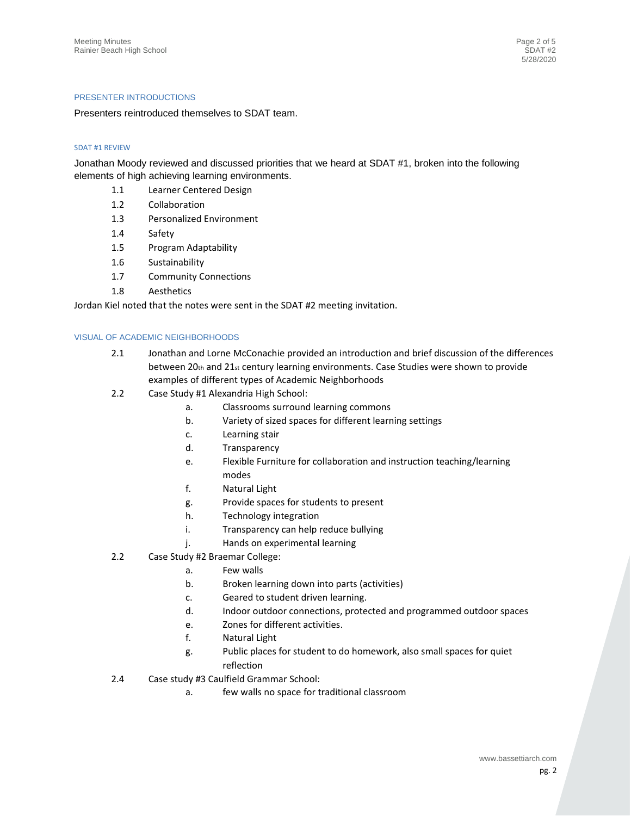### PRESENTER INTRODUCTIONS

Presenters reintroduced themselves to SDAT team.

## SDAT #1 REVIEW

Jonathan Moody reviewed and discussed priorities that we heard at SDAT #1, broken into the following elements of high achieving learning environments.

- 1.1 Learner Centered Design
- 1.2 Collaboration
- 1.3 Personalized Environment
- 1.4 Safety
- 1.5 Program Adaptability
- 1.6 Sustainability
- 1.7 Community Connections
- 1.8 Aesthetics

Jordan Kiel noted that the notes were sent in the SDAT #2 meeting invitation.

#### VISUAL OF ACADEMIC NEIGHBORHOODS

- 2.1 Jonathan and Lorne McConachie provided an introduction and brief discussion of the differences between 20th and 21st century learning environments. Case Studies were shown to provide examples of different types of Academic Neighborhoods
- 2.2 Case Study #1 Alexandria High School:
	- a. Classrooms surround learning commons
	- b. Variety of sized spaces for different learning settings
	- c. Learning stair
	- d. Transparency
	- e. Flexible Furniture for collaboration and instruction teaching/learning modes
	- f. Natural Light
	- g. Provide spaces for students to present
	- h. Technology integration
	- i. Transparency can help reduce bullying
	- j. Hands on experimental learning
- 2.2 Case Study #2 Braemar College:
	- a. Few walls
		- b. Broken learning down into parts (activities)
		- c. Geared to student driven learning.
		- d. Indoor outdoor connections, protected and programmed outdoor spaces
	- e. Zones for different activities.
	- f. Natural Light
	- g. Public places for student to do homework, also small spaces for quiet reflection
- 2.4 Case study #3 Caulfield Grammar School:
	- a. few walls no space for traditional classroom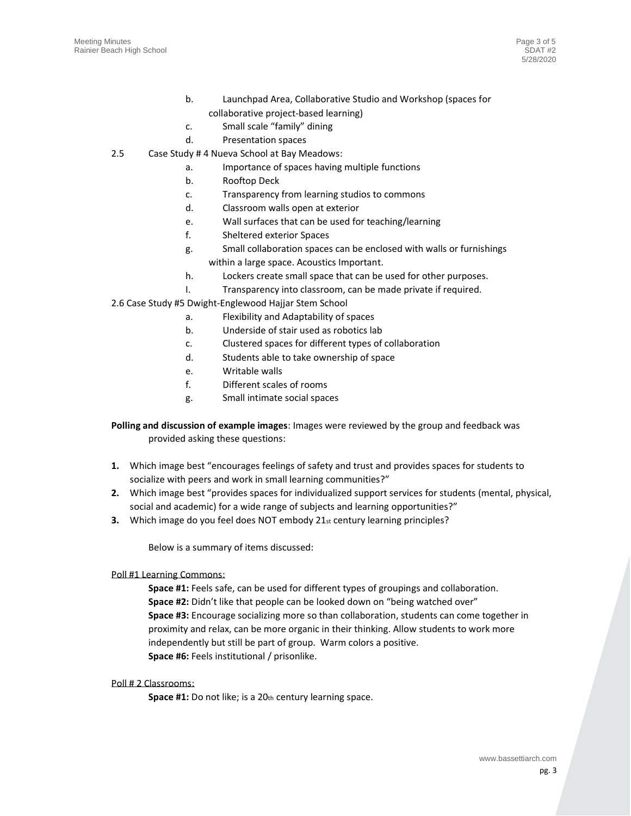- b. Launchpad Area, Collaborative Studio and Workshop (spaces for collaborative project-based learning)
- c. Small scale "family" dining
- d. Presentation spaces
- 2.5 Case Study # 4 Nueva School at Bay Meadows:
	- a. Importance of spaces having multiple functions
	- b. Rooftop Deck
	- c. Transparency from learning studios to commons
	- d. Classroom walls open at exterior
	- e. Wall surfaces that can be used for teaching/learning
	- f. Sheltered exterior Spaces
	- g. Small collaboration spaces can be enclosed with walls or furnishings within a large space. Acoustics Important.
	- h. Lockers create small space that can be used for other purposes.
	- I. Transparency into classroom, can be made private if required.
- 2.6 Case Study #5 Dwight-Englewood Hajjar Stem School
	- a. Flexibility and Adaptability of spaces
	- b. Underside of stair used as robotics lab
	- c. Clustered spaces for different types of collaboration
	- d. Students able to take ownership of space
	- e. Writable walls
	- f. Different scales of rooms
	- g. Small intimate social spaces

**Polling and discussion of example images**: Images were reviewed by the group and feedback was provided asking these questions:

- **1.** Which image best "encourages feelings of safety and trust and provides spaces for students to socialize with peers and work in small learning communities?"
- **2.** Which image best "provides spaces for individualized support services for students (mental, physical, social and academic) for a wide range of subjects and learning opportunities?"
- **3.** Which image do you feel does NOT embody 21st century learning principles?

Below is a summary of items discussed:

#### Poll #1 Learning Commons:

**Space #1:** Feels safe, can be used for different types of groupings and collaboration. **Space #2:** Didn't like that people can be looked down on "being watched over" **Space #3:** Encourage socializing more so than collaboration, students can come together in proximity and relax, can be more organic in their thinking. Allow students to work more independently but still be part of group. Warm colors a positive. **Space #6:** Feels institutional / prisonlike.

## Poll # 2 Classrooms:

**Space #1:** Do not like; is a 20th century learning space.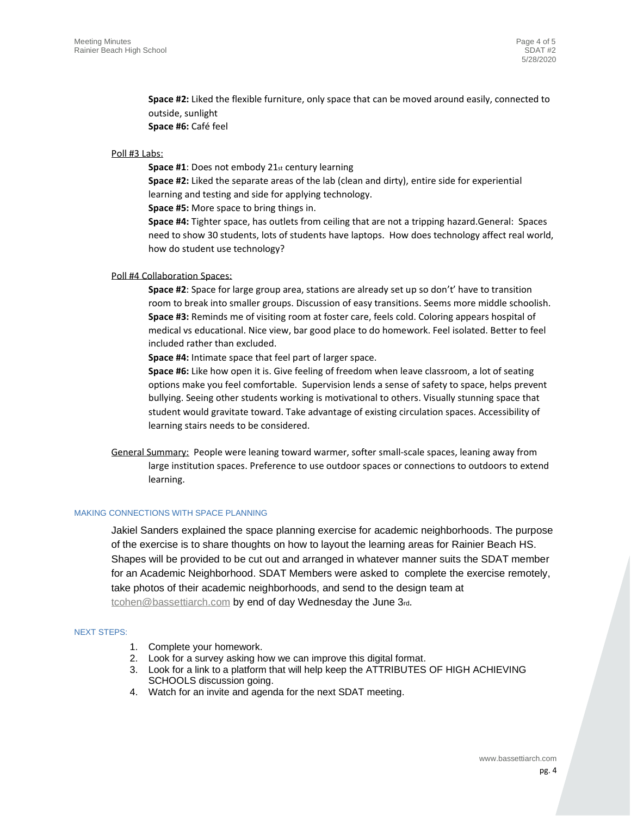**Space #2:** Liked the flexible furniture, only space that can be moved around easily, connected to outside, sunlight **Space #6:** Café feel

## Poll #3 Labs:

**Space #1:** Does not embody 21st century learning

**Space #2:** Liked the separate areas of the lab (clean and dirty), entire side for experiential learning and testing and side for applying technology.

**Space #5:** More space to bring things in.

**Space #4:** Tighter space, has outlets from ceiling that are not a tripping hazard.General: Spaces need to show 30 students, lots of students have laptops. How does technology affect real world, how do student use technology?

#### Poll #4 Collaboration Spaces:

**Space #2**: Space for large group area, stations are already set up so don't' have to transition room to break into smaller groups. Discussion of easy transitions. Seems more middle schoolish. **Space #3:** Reminds me of visiting room at foster care, feels cold. Coloring appears hospital of medical vs educational. Nice view, bar good place to do homework. Feel isolated. Better to feel included rather than excluded.

**Space #4:** Intimate space that feel part of larger space.

**Space #6:** Like how open it is. Give feeling of freedom when leave classroom, a lot of seating options make you feel comfortable. Supervision lends a sense of safety to space, helps prevent bullying. Seeing other students working is motivational to others. Visually stunning space that student would gravitate toward. Take advantage of existing circulation spaces. Accessibility of learning stairs needs to be considered.

General Summary: People were leaning toward warmer, softer small-scale spaces, leaning away from large institution spaces. Preference to use outdoor spaces or connections to outdoors to extend learning.

# MAKING CONNECTIONS WITH SPACE PLANNING

Jakiel Sanders explained the space planning exercise for academic neighborhoods. The purpose of the exercise is to share thoughts on how to layout the learning areas for Rainier Beach HS. Shapes will be provided to be cut out and arranged in whatever manner suits the SDAT member for an Academic Neighborhood. SDAT Members were asked to complete the exercise remotely, take photos of their academic neighborhoods, and send to the design team at [tcohen@bassettiarch.com](mailto:jkiel@bassettiarch.com) by end of day Wednesday the June 3rd.

#### NEXT STEPS:

- 1. Complete your homework.
- 2. Look for a survey asking how we can improve this digital format.
- 3. Look for a link to a platform that will help keep the ATTRIBUTES OF HIGH ACHIEVING SCHOOLS discussion going.
- 4. Watch for an invite and agenda for the next SDAT meeting.